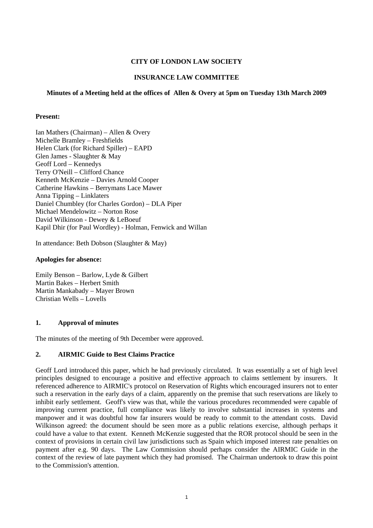# **CITY OF LONDON LAW SOCIETY**

# **INSURANCE LAW COMMITTEE**

### **Minutes of a Meeting held at the offices of Allen & Overy at 5pm on Tuesday 13th March 2009**

### **Present:**

Ian Mathers (Chairman) – Allen & Overy Michelle Bramley – Freshfields Helen Clark (for Richard Spiller) – EAPD Glen James - Slaughter & May Geoff Lord – Kennedys Terry O'Neill – Clifford Chance Kenneth McKenzie – Davies Arnold Cooper Catherine Hawkins – Berrymans Lace Mawer Anna Tipping – Linklaters Daniel Chumbley (for Charles Gordon) – DLA Piper Michael Mendelowitz – Norton Rose David Wilkinson - Dewey & LeBoeuf Kapil Dhir (for Paul Wordley) - Holman, Fenwick and Willan

In attendance: Beth Dobson (Slaughter & May)

#### **Apologies for absence:**

Emily Benson – Barlow, Lyde & Gilbert Martin Bakes – Herbert Smith Martin Mankabady – Mayer Brown Christian Wells – Lovells

### **1. Approval of minutes**

The minutes of the meeting of 9th December were approved.

### **2. AIRMIC Guide to Best Claims Practice**

Geoff Lord introduced this paper, which he had previously circulated. It was essentially a set of high level principles designed to encourage a positive and effective approach to claims settlement by insurers. It referenced adherence to AIRMIC's protocol on Reservation of Rights which encouraged insurers not to enter such a reservation in the early days of a claim, apparently on the premise that such reservations are likely to inhibit early settlement. Geoff's view was that, while the various procedures recommended were capable of improving current practice, full compliance was likely to involve substantial increases in systems and manpower and it was doubtful how far insurers would be ready to commit to the attendant costs. David Wilkinson agreed: the document should be seen more as a public relations exercise, although perhaps it could have a value to that extent. Kenneth McKenzie suggested that the ROR protocol should be seen in the context of provisions in certain civil law jurisdictions such as Spain which imposed interest rate penalties on payment after e.g. 90 days. The Law Commission should perhaps consider the AIRMIC Guide in the context of the review of late payment which they had promised. The Chairman undertook to draw this point to the Commission's attention.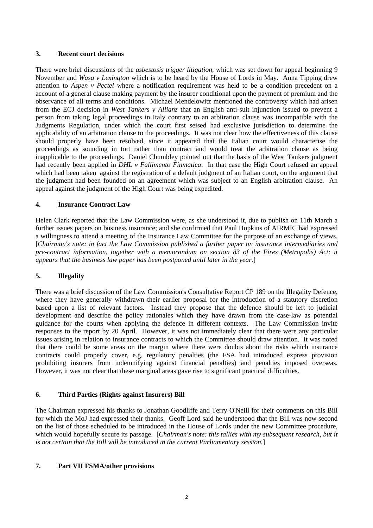# **3. Recent court decisions**

There were brief discussions of the *asbestosis trigger litigation*, which was set down for appeal beginning 9 November and *Wasa v Lexington* which is to be heard by the House of Lords in May. Anna Tipping drew attention to *Aspen v Pectel* where a notification requirement was held to be a condition precedent on a account of a general clause making payment by the insurer conditional upon the payment of premium and the observance of all terms and conditions. Michael Mendelowitz mentioned the controversy which had arisen from the ECJ decision in *West Tankers v Allianz* that an English anti-suit injunction issued to prevent a person from taking legal proceedings in Italy contrary to an arbitration clause was incompatible with the Judgments Regulation, under which the court first seised had exclusive jurisdiction to determine the applicability of an arbitration clause to the proceedings. It was not clear how the effectiveness of this clause should properly have been resolved, since it appeared that the Italian court would characterise the proceedings as sounding in tort rather than contract and would treat the arbitration clause as being inapplicable to the proceedings. Daniel Chumbley pointed out that the basis of the West Tankers judgment had recently been applied in *DHL v Fallimento Finmatica*. In that case the High Court refused an appeal which had been taken against the registration of a default judgment of an Italian court, on the argument that the judgment had been founded on an agreement which was subject to an English arbitration clause. An appeal against the judgment of the High Court was being expedited.

# **4. Insurance Contract Law**

Helen Clark reported that the Law Commission were, as she understood it, due to publish on 11th March a further issues papers on business insurance; and she confirmed that Paul Hopkins of AIRMIC had expressed a willingness to attend a meeting of the Insurance Law Committee for the purpose of an exchange of views. [*Chairman's note: in fact the Law Commission published a further paper on insurance intermediaries and pre-contract information, together with a memorandum on section 83 of the Fires (Metropolis) Act: it appears that the business law paper has been postponed until later in the year.*]

# **5. Illegality**

There was a brief discussion of the Law Commission's Consultative Report CP 189 on the Illegality Defence, where they have generally withdrawn their earlier proposal for the introduction of a statutory discretion based upon a list of relevant factors. Instead they propose that the defence should be left to judicial development and describe the policy rationales which they have drawn from the case-law as potential guidance for the courts when applying the defence in different contexts. The Law Commission invite responses to the report by 20 April. However, it was not immediately clear that there were any particular issues arising in relation to insurance contracts to which the Committee should draw attention. It was noted that there could be some areas on the margin where there were doubts about the risks which insurance contracts could properly cover, e.g. regulatory penalties (the FSA had introduced express provision prohibiting insurers from indemnifying against financial penalties) and penalties imposed overseas. However, it was not clear that these marginal areas gave rise to significant practical difficulties.

### **6. Third Parties (Rights against Insurers) Bill**

The Chairman expressed his thanks to Jonathan Goodliffe and Terry O'Neill for their comments on this Bill for which the MoJ had expressed their thanks. Geoff Lord said he understood that the Bill was now second on the list of those scheduled to be introduced in the House of Lords under the new Committee procedure, which would hopefully secure its passage. [*Chairman's note: this tallies with my subsequent research, but it is not certain that the Bill will be introduced in the current Parliamentary session.*]

### **7. Part VII FSMA/other provisions**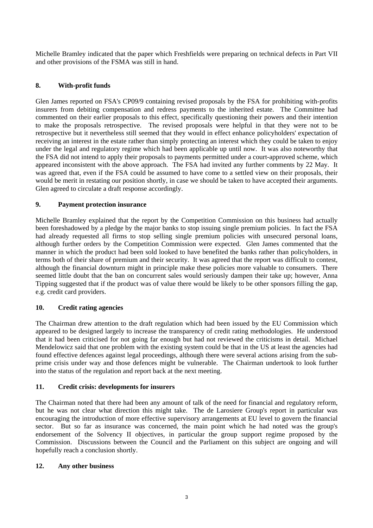Michelle Bramley indicated that the paper which Freshfields were preparing on technical defects in Part VII and other provisions of the FSMA was still in hand.

# **8. With-profit funds**

Glen James reported on FSA's CP09/9 containing revised proposals by the FSA for prohibiting with-profits insurers from debiting compensation and redress payments to the inherited estate. The Committee had commented on their earlier proposals to this effect, specifically questioning their powers and their intention to make the proposals retrospective. The revised proposals were helpful in that they were not to be retrospective but it nevertheless still seemed that they would in effect enhance policyholders' expectation of receiving an interest in the estate rather than simply protecting an interest which they could be taken to enjoy under the legal and regulatory regime which had been applicable up until now. It was also noteworthy that the FSA did not intend to apply their proposals to payments permitted under a court-approved scheme, which appeared inconsistent with the above approach. The FSA had invited any further comments by 22 May. It was agreed that, even if the FSA could be assumed to have come to a settled view on their proposals, their would be merit in restating our position shortly, in case we should be taken to have accepted their arguments. Glen agreed to circulate a draft response accordingly.

### **9. Payment protection insurance**

Michelle Bramley explained that the report by the Competition Commission on this business had actually been foreshadowed by a pledge by the major banks to stop issuing single premium policies. In fact the FSA had already requested all firms to stop selling single premium policies with unsecured personal loans, although further orders by the Competition Commission were expected. Glen James commented that the manner in which the product had been sold looked to have benefited the banks rather than policyholders, in terms both of their share of premium and their security. It was agreed that the report was difficult to contest, although the financial downturn might in principle make these policies more valuable to consumers. There seemed little doubt that the ban on concurrent sales would seriously dampen their take up; however, Anna Tipping suggested that if the product was of value there would be likely to be other sponsors filling the gap, e.g. credit card providers.

### **10. Credit rating agencies**

The Chairman drew attention to the draft regulation which had been issued by the EU Commission which appeared to be designed largely to increase the transparency of credit rating methodologies. He understood that it had been criticised for not going far enough but had not reviewed the criticisms in detail. Michael Mendelowicz said that one problem with the existing system could be that in the US at least the agencies had found effective defences against legal proceedings, although there were several actions arising from the subprime crisis under way and those defences might be vulnerable. The Chairman undertook to look further into the status of the regulation and report back at the next meeting.

### **11. Credit crisis: developments for insurers**

The Chairman noted that there had been any amount of talk of the need for financial and regulatory reform, but he was not clear what direction this might take. The de Larosiere Group's report in particular was encouraging the introduction of more effective supervisory arrangements at EU level to govern the financial sector. But so far as insurance was concerned, the main point which he had noted was the group's endorsement of the Solvency II objectives, in particular the group support regime proposed by the Commission. Discussions between the Council and the Parliament on this subject are ongoing and will hopefully reach a conclusion shortly.

### **12. Any other business**